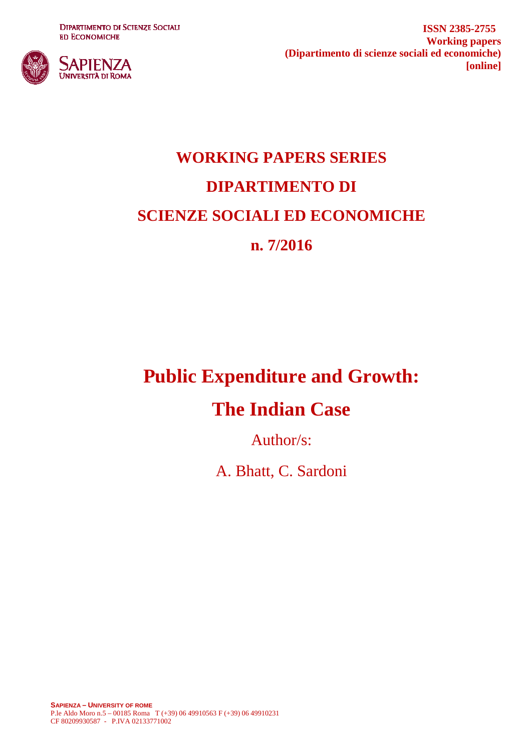**DIPARTIMENTO DI SCIENZE SOCIALI ED ECONOMICHE** 



**ISSN 2385-2755 Working papers (Dipartimento di scienze sociali ed economiche) [online]**

# **WORKING PAPERS SERIES DIPARTIMENTO DI SCIENZE SOCIALI ED ECONOMICHE n. 7/2016**

# **Public Expenditure and Growth:**

# **The Indian Case**

Author/s:

A. Bhatt, C. Sardoni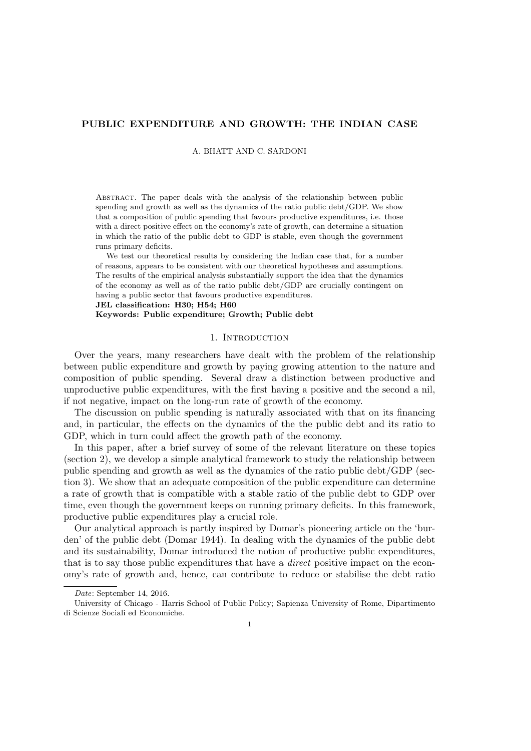## PUBLIC EXPENDITURE AND GROWTH: THE INDIAN CASE

A. BHATT AND C. SARDONI

Abstract. The paper deals with the analysis of the relationship between public spending and growth as well as the dynamics of the ratio public debt/GDP. We show that a composition of public spending that favours productive expenditures, i.e. those with a direct positive effect on the economy's rate of growth, can determine a situation in which the ratio of the public debt to GDP is stable, even though the government runs primary deficits.

We test our theoretical results by considering the Indian case that, for a number of reasons, appears to be consistent with our theoretical hypotheses and assumptions. The results of the empirical analysis substantially support the idea that the dynamics of the economy as well as of the ratio public debt/GDP are crucially contingent on having a public sector that favours productive expenditures.

JEL classification: H30; H54; H60 Keywords: Public expenditure; Growth; Public debt

#### 1. INTRODUCTION

Over the years, many researchers have dealt with the problem of the relationship between public expenditure and growth by paying growing attention to the nature and composition of public spending. Several draw a distinction between productive and unproductive public expenditures, with the first having a positive and the second a nil, if not negative, impact on the long-run rate of growth of the economy.

The discussion on public spending is naturally associated with that on its financing and, in particular, the effects on the dynamics of the the public debt and its ratio to GDP, which in turn could affect the growth path of the economy.

In this paper, after a brief survey of some of the relevant literature on these topics (section 2), we develop a simple analytical framework to study the relationship between public spending and growth as well as the dynamics of the ratio public debt/GDP (section 3). We show that an adequate composition of the public expenditure can determine a rate of growth that is compatible with a stable ratio of the public debt to GDP over time, even though the government keeps on running primary deficits. In this framework, productive public expenditures play a crucial role.

Our analytical approach is partly inspired by Domar's pioneering article on the 'burden' of the public debt (Domar 1944). In dealing with the dynamics of the public debt and its sustainability, Domar introduced the notion of productive public expenditures, that is to say those public expenditures that have a direct positive impact on the economy's rate of growth and, hence, can contribute to reduce or stabilise the debt ratio

Date: September 14, 2016.

University of Chicago - Harris School of Public Policy; Sapienza University of Rome, Dipartimento di Scienze Sociali ed Economiche.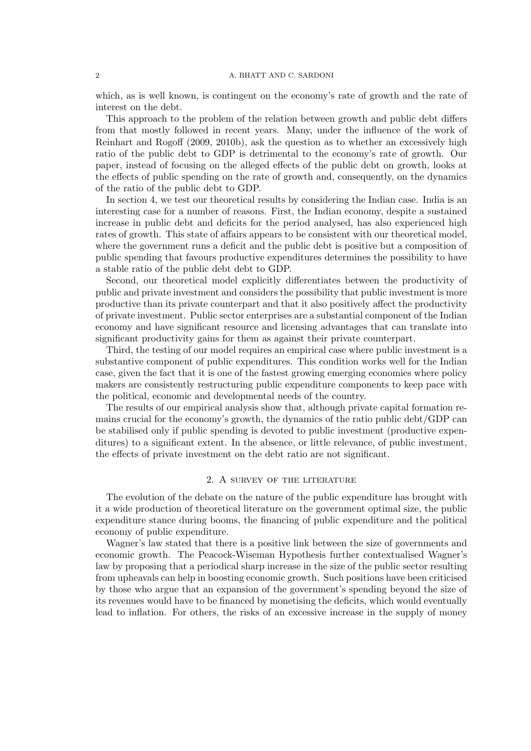#### 2 A. BHATT AND C. SARDONI

which, as is well known, is contingent on the economy's rate of growth and the rate of interest on the debt.

This approach to the problem of the relation between growth and public debt differs from that mostly followed in recent years. Many, under the influence of the work of Reinhart and Rogoff (2009, 2010b), ask the question as to whether an excessively high ratio of the public debt to GDP is detrimental to the economy's rate of growth. Our paper, instead of focusing on the alleged effects of the public debt on growth, looks at the effects of public spending on the rate of growth and, consequently, on the dynamics of the ratio of the public debt to GDP.

In section 4, we test our theoretical results by considering the Indian case. India is an interesting case for a number of reasons. First, the Indian economy, despite a sustained increase in public debt and deficits for the period analysed, has also experienced high rates of growth. This state of affairs appears to be consistent with our theoretical model, where the government runs a deficit and the public debt is positive but a composition of public spending that favours productive expenditures determines the possibility to have a stable ratio of the public debt debt to GDP.

Second, our theoretical model explicitly differentiates between the productivity of public and private investment and considers the possibility that public investment is more productive than its private counterpart and that it also positively affect the productivity of private investment. Public sector enterprises are a substantial component of the Indian economy and have significant resource and licensing advantages that can translate into significant productivity gains for them as against their private counterpart.

Third, the testing of our model requires an empirical case where public investment is a substantive component of public expenditures. This condition works well for the Indian case, given the fact that it is one of the fastest growing emerging economies where policy makers are consistently restructuring public expenditure components to keep pace with the political, economic and developmental needs of the country.

The results of our empirical analysis show that, although private capital formation remains crucial for the economy's growth, the dynamics of the ratio public debt/GDP can be stabilised only if public spending is devoted to public investment (productive expenditures) to a significant extent. In the absence, or little relevance, of public investment, the effects of private investment on the debt ratio are not significant.

#### 2. A survey of the literature

The evolution of the debate on the nature of the public expenditure has brought with it a wide production of theoretical literature on the government optimal size, the public expenditure stance during booms, the financing of public expenditure and the political economy of public expenditure.

Wagner's law stated that there is a positive link between the size of governments and economic growth. The Peacock-Wiseman Hypothesis further contextualised Wagner's law by proposing that a periodical sharp increase in the size of the public sector resulting from upheavals can help in boosting economic growth. Such positions have been criticised by those who argue that an expansion of the government's spending beyond the size of its revenues would have to be financed by monetising the deficits, which would eventually lead to inflation. For others, the risks of an excessive increase in the supply of money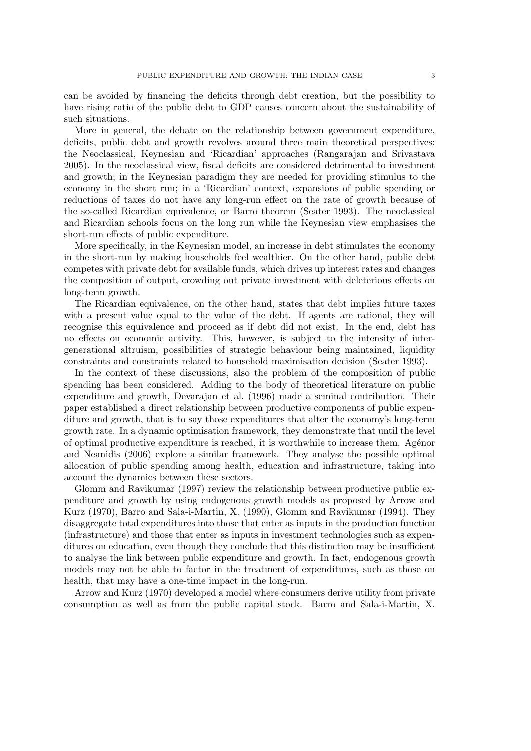can be avoided by financing the deficits through debt creation, but the possibility to have rising ratio of the public debt to GDP causes concern about the sustainability of such situations.

More in general, the debate on the relationship between government expenditure, deficits, public debt and growth revolves around three main theoretical perspectives: the Neoclassical, Keynesian and 'Ricardian' approaches (Rangarajan and Srivastava 2005). In the neoclassical view, fiscal deficits are considered detrimental to investment and growth; in the Keynesian paradigm they are needed for providing stimulus to the economy in the short run; in a 'Ricardian' context, expansions of public spending or reductions of taxes do not have any long-run effect on the rate of growth because of the so-called Ricardian equivalence, or Barro theorem (Seater 1993). The neoclassical and Ricardian schools focus on the long run while the Keynesian view emphasises the short-run effects of public expenditure.

More specifically, in the Keynesian model, an increase in debt stimulates the economy in the short-run by making households feel wealthier. On the other hand, public debt competes with private debt for available funds, which drives up interest rates and changes the composition of output, crowding out private investment with deleterious effects on long-term growth.

The Ricardian equivalence, on the other hand, states that debt implies future taxes with a present value equal to the value of the debt. If agents are rational, they will recognise this equivalence and proceed as if debt did not exist. In the end, debt has no effects on economic activity. This, however, is subject to the intensity of intergenerational altruism, possibilities of strategic behaviour being maintained, liquidity constraints and constraints related to household maximisation decision (Seater 1993).

In the context of these discussions, also the problem of the composition of public spending has been considered. Adding to the body of theoretical literature on public expenditure and growth, Devarajan et al. (1996) made a seminal contribution. Their paper established a direct relationship between productive components of public expenditure and growth, that is to say those expenditures that alter the economy's long-term growth rate. In a dynamic optimisation framework, they demonstrate that until the level of optimal productive expenditure is reached, it is worthwhile to increase them. Agénor and Neanidis (2006) explore a similar framework. They analyse the possible optimal allocation of public spending among health, education and infrastructure, taking into account the dynamics between these sectors.

Glomm and Ravikumar (1997) review the relationship between productive public expenditure and growth by using endogenous growth models as proposed by Arrow and Kurz (1970), Barro and Sala-i-Martin, X. (1990), Glomm and Ravikumar (1994). They disaggregate total expenditures into those that enter as inputs in the production function (infrastructure) and those that enter as inputs in investment technologies such as expenditures on education, even though they conclude that this distinction may be insufficient to analyse the link between public expenditure and growth. In fact, endogenous growth models may not be able to factor in the treatment of expenditures, such as those on health, that may have a one-time impact in the long-run.

Arrow and Kurz (1970) developed a model where consumers derive utility from private consumption as well as from the public capital stock. Barro and Sala-i-Martin, X.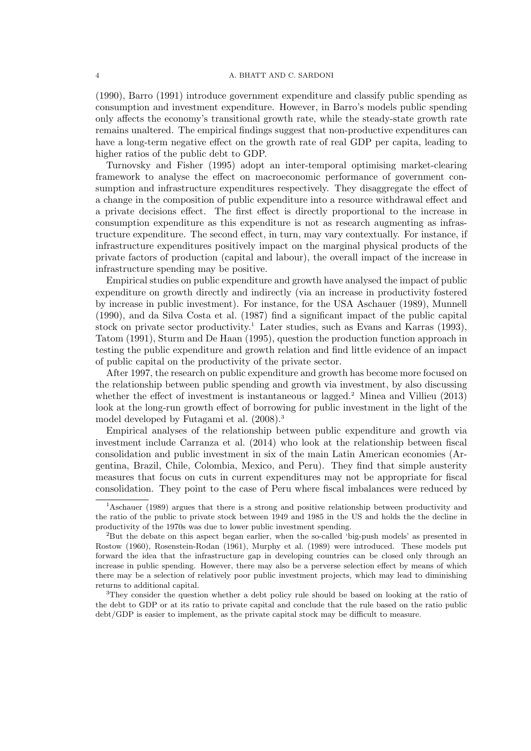(1990), Barro (1991) introduce government expenditure and classify public spending as consumption and investment expenditure. However, in Barro's models public spending only affects the economy's transitional growth rate, while the steady-state growth rate remains unaltered. The empirical findings suggest that non-productive expenditures can have a long-term negative effect on the growth rate of real GDP per capita, leading to higher ratios of the public debt to GDP.

Turnovsky and Fisher (1995) adopt an inter-temporal optimising market-clearing framework to analyse the effect on macroeconomic performance of government consumption and infrastructure expenditures respectively. They disaggregate the effect of a change in the composition of public expenditure into a resource withdrawal effect and a private decisions effect. The first effect is directly proportional to the increase in consumption expenditure as this expenditure is not as research augmenting as infrastructure expenditure. The second effect, in turn, may vary contextually. For instance, if infrastructure expenditures positively impact on the marginal physical products of the private factors of production (capital and labour), the overall impact of the increase in infrastructure spending may be positive.

Empirical studies on public expenditure and growth have analysed the impact of public expenditure on growth directly and indirectly (via an increase in productivity fostered by increase in public investment). For instance, for the USA Aschauer (1989), Munnell (1990), and da Silva Costa et al. (1987) find a significant impact of the public capital stock on private sector productivity.<sup>1</sup> Later studies, such as Evans and Karras (1993), Tatom (1991), Sturm and De Haan (1995), question the production function approach in testing the public expenditure and growth relation and find little evidence of an impact of public capital on the productivity of the private sector.

After 1997, the research on public expenditure and growth has become more focused on the relationship between public spending and growth via investment, by also discussing whether the effect of investment is instantaneous or lagged.<sup>2</sup> Minea and Villieu (2013) look at the long-run growth effect of borrowing for public investment in the light of the model developed by Futagami et al. (2008).<sup>3</sup>

Empirical analyses of the relationship between public expenditure and growth via investment include Carranza et al. (2014) who look at the relationship between fiscal consolidation and public investment in six of the main Latin American economies (Argentina, Brazil, Chile, Colombia, Mexico, and Peru). They find that simple austerity measures that focus on cuts in current expenditures may not be appropriate for fiscal consolidation. They point to the case of Peru where fiscal imbalances were reduced by

<sup>1</sup>Aschauer (1989) argues that there is a strong and positive relationship between productivity and the ratio of the public to private stock between 1949 and 1985 in the US and holds the the decline in productivity of the 1970s was due to lower public investment spending.

<sup>2</sup>But the debate on this aspect began earlier, when the so-called 'big-push models' as presented in Rostow (1960), Rosenstein-Rodan (1961), Murphy et al. (1989) were introduced. These models put forward the idea that the infrastructure gap in developing countries can be closed only through an increase in public spending. However, there may also be a perverse selection effect by means of which there may be a selection of relatively poor public investment projects, which may lead to diminishing returns to additional capital.

<sup>&</sup>lt;sup>3</sup>They consider the question whether a debt policy rule should be based on looking at the ratio of the debt to GDP or at its ratio to private capital and conclude that the rule based on the ratio public debt/GDP is easier to implement, as the private capital stock may be difficult to measure.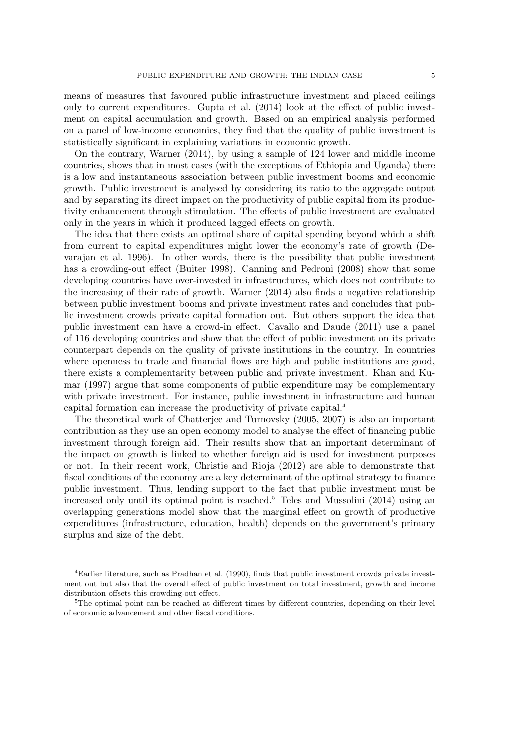means of measures that favoured public infrastructure investment and placed ceilings only to current expenditures. Gupta et al. (2014) look at the effect of public investment on capital accumulation and growth. Based on an empirical analysis performed on a panel of low-income economies, they find that the quality of public investment is statistically significant in explaining variations in economic growth.

On the contrary, Warner (2014), by using a sample of 124 lower and middle income countries, shows that in most cases (with the exceptions of Ethiopia and Uganda) there is a low and instantaneous association between public investment booms and economic growth. Public investment is analysed by considering its ratio to the aggregate output and by separating its direct impact on the productivity of public capital from its productivity enhancement through stimulation. The effects of public investment are evaluated only in the years in which it produced lagged effects on growth.

The idea that there exists an optimal share of capital spending beyond which a shift from current to capital expenditures might lower the economy's rate of growth (Devarajan et al. 1996). In other words, there is the possibility that public investment has a crowding-out effect (Buiter 1998). Canning and Pedroni (2008) show that some developing countries have over-invested in infrastructures, which does not contribute to the increasing of their rate of growth. Warner (2014) also finds a negative relationship between public investment booms and private investment rates and concludes that public investment crowds private capital formation out. But others support the idea that public investment can have a crowd-in effect. Cavallo and Daude (2011) use a panel of 116 developing countries and show that the effect of public investment on its private counterpart depends on the quality of private institutions in the country. In countries where openness to trade and financial flows are high and public institutions are good, there exists a complementarity between public and private investment. Khan and Kumar (1997) argue that some components of public expenditure may be complementary with private investment. For instance, public investment in infrastructure and human capital formation can increase the productivity of private capital.<sup>4</sup>

The theoretical work of Chatterjee and Turnovsky (2005, 2007) is also an important contribution as they use an open economy model to analyse the effect of financing public investment through foreign aid. Their results show that an important determinant of the impact on growth is linked to whether foreign aid is used for investment purposes or not. In their recent work, Christie and Rioja (2012) are able to demonstrate that fiscal conditions of the economy are a key determinant of the optimal strategy to finance public investment. Thus, lending support to the fact that public investment must be increased only until its optimal point is reached.<sup>5</sup> Teles and Mussolini (2014) using an overlapping generations model show that the marginal effect on growth of productive expenditures (infrastructure, education, health) depends on the government's primary surplus and size of the debt.

<sup>4</sup>Earlier literature, such as Pradhan et al. (1990), finds that public investment crowds private investment out but also that the overall effect of public investment on total investment, growth and income distribution offsets this crowding-out effect.

<sup>&</sup>lt;sup>5</sup>The optimal point can be reached at different times by different countries, depending on their level of economic advancement and other fiscal conditions.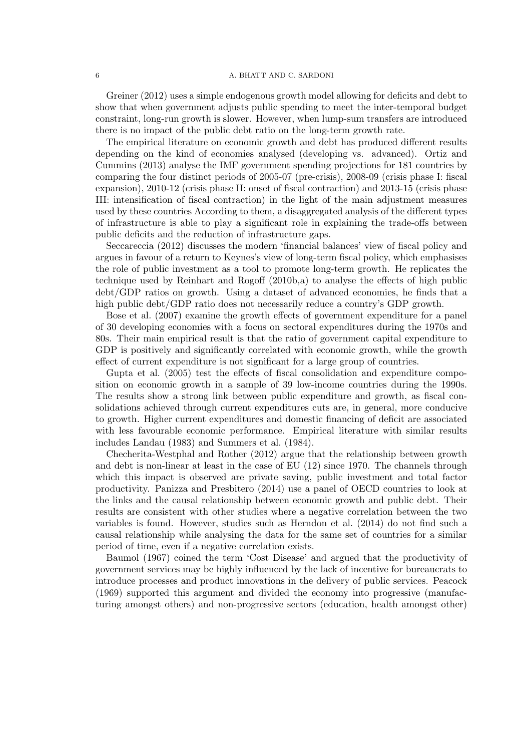#### 6 A. BHATT AND C. SARDONI

Greiner (2012) uses a simple endogenous growth model allowing for deficits and debt to show that when government adjusts public spending to meet the inter-temporal budget constraint, long-run growth is slower. However, when lump-sum transfers are introduced there is no impact of the public debt ratio on the long-term growth rate.

The empirical literature on economic growth and debt has produced different results depending on the kind of economies analysed (developing vs. advanced). Ortiz and Cummins (2013) analyse the IMF government spending projections for 181 countries by comparing the four distinct periods of 2005-07 (pre-crisis), 2008-09 (crisis phase I: fiscal expansion), 2010-12 (crisis phase II: onset of fiscal contraction) and 2013-15 (crisis phase III: intensification of fiscal contraction) in the light of the main adjustment measures used by these countries According to them, a disaggregated analysis of the different types of infrastructure is able to play a significant role in explaining the trade-offs between public deficits and the reduction of infrastructure gaps.

Seccareccia (2012) discusses the modern 'financial balances' view of fiscal policy and argues in favour of a return to Keynes's view of long-term fiscal policy, which emphasises the role of public investment as a tool to promote long-term growth. He replicates the technique used by Reinhart and Rogoff (2010b,a) to analyse the effects of high public debt/GDP ratios on growth. Using a dataset of advanced economies, he finds that a high public debt/GDP ratio does not necessarily reduce a country's GDP growth.

Bose et al. (2007) examine the growth effects of government expenditure for a panel of 30 developing economies with a focus on sectoral expenditures during the 1970s and 80s. Their main empirical result is that the ratio of government capital expenditure to GDP is positively and significantly correlated with economic growth, while the growth effect of current expenditure is not significant for a large group of countries.

Gupta et al. (2005) test the effects of fiscal consolidation and expenditure composition on economic growth in a sample of 39 low-income countries during the 1990s. The results show a strong link between public expenditure and growth, as fiscal consolidations achieved through current expenditures cuts are, in general, more conducive to growth. Higher current expenditures and domestic financing of deficit are associated with less favourable economic performance. Empirical literature with similar results includes Landau (1983) and Summers et al. (1984).

Checherita-Westphal and Rother (2012) argue that the relationship between growth and debt is non-linear at least in the case of EU (12) since 1970. The channels through which this impact is observed are private saving, public investment and total factor productivity. Panizza and Presbitero (2014) use a panel of OECD countries to look at the links and the causal relationship between economic growth and public debt. Their results are consistent with other studies where a negative correlation between the two variables is found. However, studies such as Herndon et al. (2014) do not find such a causal relationship while analysing the data for the same set of countries for a similar period of time, even if a negative correlation exists.

Baumol (1967) coined the term 'Cost Disease' and argued that the productivity of government services may be highly influenced by the lack of incentive for bureaucrats to introduce processes and product innovations in the delivery of public services. Peacock (1969) supported this argument and divided the economy into progressive (manufacturing amongst others) and non-progressive sectors (education, health amongst other)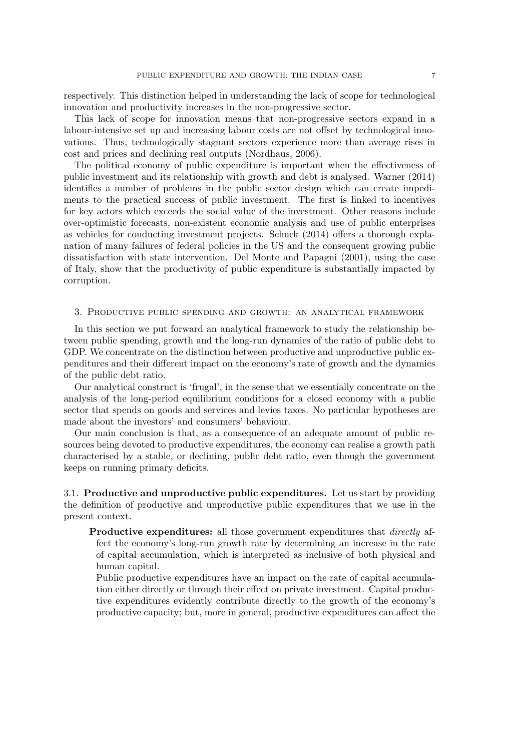respectively. This distinction helped in understanding the lack of scope for technological innovation and productivity increases in the non-progressive sector.

This lack of scope for innovation means that non-progressive sectors expand in a labour-intensive set up and increasing labour costs are not offset by technological innovations. Thus, technologically stagnant sectors experience more than average rises in cost and prices and declining real outputs (Nordhaus, 2006).

The political economy of public expenditure is important when the effectiveness of public investment and its relationship with growth and debt is analysed. Warner (2014) identifies a number of problems in the public sector design which can create impediments to the practical success of public investment. The first is linked to incentives for key actors which exceeds the social value of the investment. Other reasons include over-optimistic forecasts, non-existent economic analysis and use of public enterprises as vehicles for conducting investment projects. Schuck (2014) offers a thorough explanation of many failures of federal policies in the US and the consequent growing public dissatisfaction with state intervention. Del Monte and Papagni (2001), using the case of Italy, show that the productivity of public expenditure is substantially impacted by corruption.

#### 3. Productive public spending and growth: an analytical framework

In this section we put forward an analytical framework to study the relationship between public spending, growth and the long-run dynamics of the ratio of public debt to GDP. We concentrate on the distinction between productive and unproductive public expenditures and their different impact on the economy's rate of growth and the dynamics of the public debt ratio.

Our analytical construct is 'frugal', in the sense that we essentially concentrate on the analysis of the long-period equilibrium conditions for a closed economy with a public sector that spends on goods and services and levies taxes. No particular hypotheses are made about the investors' and consumers' behaviour.

Our main conclusion is that, as a consequence of an adequate amount of public resources being devoted to productive expenditures, the economy can realise a growth path characterised by a stable, or declining, public debt ratio, even though the government keeps on running primary deficits.

3.1. Productive and unproductive public expenditures. Let us start by providing the definition of productive and unproductive public expenditures that we use in the present context.

Productive expenditures: all those government expenditures that *directly* affect the economy's long-run growth rate by determining an increase in the rate of capital accumulation, which is interpreted as inclusive of both physical and human capital.

Public productive expenditures have an impact on the rate of capital accumulation either directly or through their effect on private investment. Capital productive expenditures evidently contribute directly to the growth of the economy's productive capacity; but, more in general, productive expenditures can affect the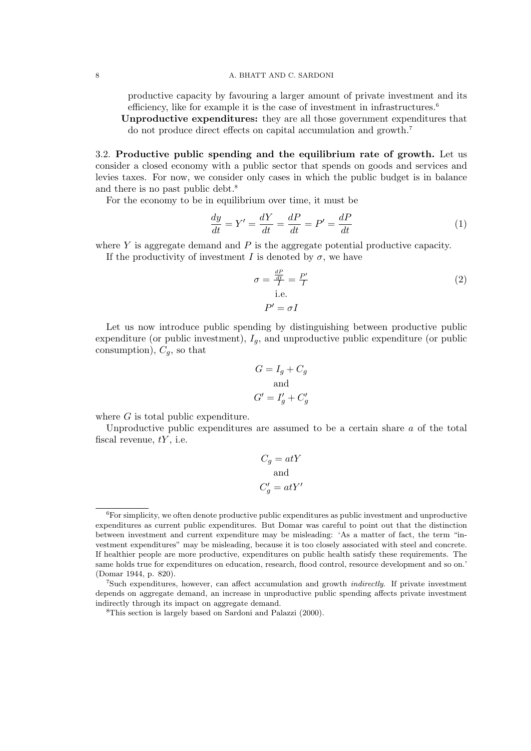productive capacity by favouring a larger amount of private investment and its efficiency, like for example it is the case of investment in infrastructures.<sup>6</sup>

Unproductive expenditures: they are all those government expenditures that do not produce direct effects on capital accumulation and growth.<sup>7</sup>

3.2. Productive public spending and the equilibrium rate of growth. Let us consider a closed economy with a public sector that spends on goods and services and levies taxes. For now, we consider only cases in which the public budget is in balance and there is no past public debt.<sup>8</sup>

For the economy to be in equilibrium over time, it must be

$$
\frac{dy}{dt} = Y' = \frac{dY}{dt} = \frac{dP}{dt} = P' = \frac{dP}{dt} \tag{1}
$$

where  $Y$  is aggregate demand and  $P$  is the aggregate potential productive capacity.

If the productivity of investment I is denoted by  $\sigma$ , we have

$$
\sigma = \frac{\frac{dP}{dt}}{I} = \frac{P'}{I}
$$
\ni.e. 
$$
P' = \sigma I
$$
\n(2)

Let us now introduce public spending by distinguishing between productive public expenditure (or public investment),  $I_q$ , and unproductive public expenditure (or public consumption),  $C_q$ , so that

$$
G = I_g + C_g
$$
  
and  

$$
G' = I'_g + C'_g
$$

where  $G$  is total public expenditure.

Unproductive public expenditures are assumed to be a certain share  $a$  of the total fiscal revenue,  $tY$ , i.e.

$$
C_g = atY
$$
  
and  

$$
C'_g = atY'
$$

 ${}^{6}$ For simplicity, we often denote productive public expenditures as public investment and unproductive expenditures as current public expenditures. But Domar was careful to point out that the distinction between investment and current expenditure may be misleading: 'As a matter of fact, the term "investment expenditures" may be misleading, because it is too closely associated with steel and concrete. If healthier people are more productive, expenditures on public health satisfy these requirements. The same holds true for expenditures on education, research, flood control, resource development and so on.' (Domar 1944, p. 820).

<sup>7</sup>Such expenditures, however, can affect accumulation and growth indirectly. If private investment depends on aggregate demand, an increase in unproductive public spending affects private investment indirectly through its impact on aggregate demand.

<sup>8</sup>This section is largely based on Sardoni and Palazzi (2000).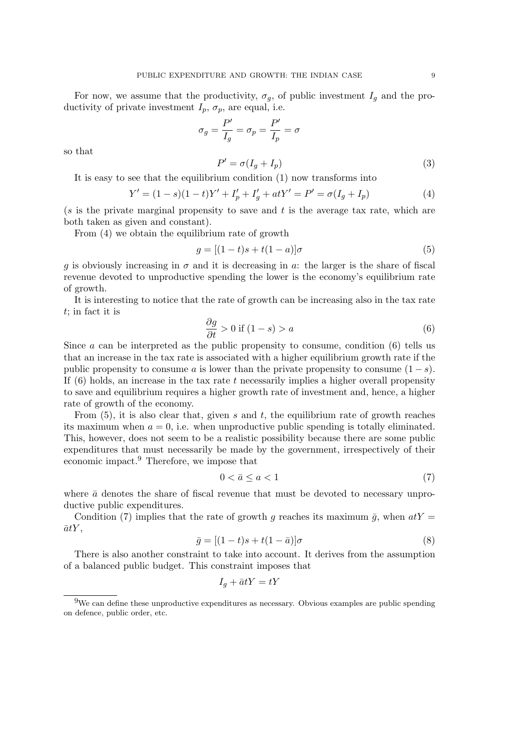For now, we assume that the productivity,  $\sigma_q$ , of public investment  $I_q$  and the productivity of private investment  $I_p$ ,  $\sigma_p$ , are equal, i.e.

> $\sigma_g = \frac{P'}{I}$  $\frac{P'}{I_g} = \sigma_p = \frac{P'}{I_p}$  $\frac{1}{I_p} = \sigma$

so that

$$
P' = \sigma(I_g + I_p) \tag{3}
$$

It is easy to see that the equilibrium condition (1) now transforms into

$$
Y' = (1 - s)(1 - t)Y' + I'_p + I'_g + atY' = P' = \sigma(I_g + I_p)
$$
\n(4)

(s is the private marginal propensity to save and t is the average tax rate, which are both taken as given and constant).

From (4) we obtain the equilibrium rate of growth

$$
g = [(1-t)s + t(1-a)]\sigma \tag{5}
$$

g is obviously increasing in  $\sigma$  and it is decreasing in a: the larger is the share of fiscal revenue devoted to unproductive spending the lower is the economy's equilibrium rate of growth.

It is interesting to notice that the rate of growth can be increasing also in the tax rate t; in fact it is

$$
\frac{\partial g}{\partial t} > 0 \text{ if } (1 - s) > a \tag{6}
$$

Since  $\alpha$  can be interpreted as the public propensity to consume, condition (6) tells us that an increase in the tax rate is associated with a higher equilibrium growth rate if the public propensity to consume a is lower than the private propensity to consume  $(1 - s)$ . If  $(6)$  holds, an increase in the tax rate t necessarily implies a higher overall propensity to save and equilibrium requires a higher growth rate of investment and, hence, a higher rate of growth of the economy.

From  $(5)$ , it is also clear that, given s and t, the equilibrium rate of growth reaches its maximum when  $a = 0$ , i.e. when unproductive public spending is totally eliminated. This, however, does not seem to be a realistic possibility because there are some public expenditures that must necessarily be made by the government, irrespectively of their economic impact.<sup>9</sup> Therefore, we impose that

$$
0 < \bar{a} \le a < 1\tag{7}
$$

where  $\bar{a}$  denotes the share of fiscal revenue that must be devoted to necessary unproductive public expenditures.

Condition (7) implies that the rate of growth g reaches its maximum  $\bar{q}$ , when  $atY =$  $\bar{a}tY,$ 

$$
\bar{g} = [(1-t)s + t(1-\bar{a})]\sigma \tag{8}
$$

There is also another constraint to take into account. It derives from the assumption of a balanced public budget. This constraint imposes that

$$
I_g + \bar{a}tY = tY
$$

<sup>9</sup>We can define these unproductive expenditures as necessary. Obvious examples are public spending on defence, public order, etc.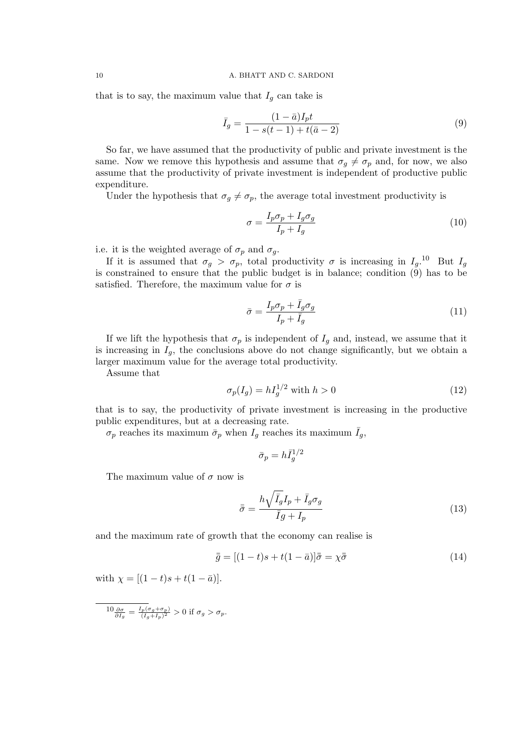that is to say, the maximum value that  $I_q$  can take is

$$
\bar{I}_g = \frac{(1 - \bar{a})I_p t}{1 - s(t - 1) + t(\bar{a} - 2)}
$$
\n(9)

So far, we have assumed that the productivity of public and private investment is the same. Now we remove this hypothesis and assume that  $\sigma_q \neq \sigma_p$  and, for now, we also assume that the productivity of private investment is independent of productive public expenditure.

Under the hypothesis that  $\sigma_q \neq \sigma_p$ , the average total investment productivity is

$$
\sigma = \frac{I_p \sigma_p + I_g \sigma_g}{I_p + I_g} \tag{10}
$$

i.e. it is the weighted average of  $\sigma_p$  and  $\sigma_q$ .

If it is assumed that  $\sigma_g > \sigma_p$ , total productivity  $\sigma$  is increasing in  $I_g$ .<sup>10</sup> But  $I_g$ is constrained to ensure that the public budget is in balance; condition (9) has to be satisfied. Therefore, the maximum value for  $\sigma$  is

$$
\bar{\sigma} = \frac{I_p \sigma_p + \bar{I}_g \sigma_g}{I_p + \bar{I}_g} \tag{11}
$$

If we lift the hypothesis that  $\sigma_p$  is independent of  $I_q$  and, instead, we assume that it is increasing in  $I_g$ , the conclusions above do not change significantly, but we obtain a larger maximum value for the average total productivity.

Assume that

$$
\sigma_p(I_g) = h I_g^{1/2} \text{ with } h > 0 \tag{12}
$$

that is to say, the productivity of private investment is increasing in the productive public expenditures, but at a decreasing rate.

 $\sigma_p$  reaches its maximum  $\bar{\sigma}_p$  when  $I_g$  reaches its maximum  $\bar{I}_g$ ,

$$
\bar{\sigma}_p = h \bar{I}_g^{1/2}
$$

The maximum value of  $\sigma$  now is

$$
\bar{\bar{\sigma}} = \frac{h\sqrt{\bar{I}_g}I_p + \bar{I}_g\sigma_g}{\bar{I}_g + I_p} \tag{13}
$$

and the maximum rate of growth that the economy can realise is

$$
\bar{\bar{g}} = [(1-t)s + t(1-\bar{a})]\bar{\bar{\sigma}} = \chi\bar{\bar{\sigma}} \tag{14}
$$

with  $\chi = [(1-t)s + t(1-\bar{a})].$ 

$$
10\frac{\partial\sigma}{\partial I_g}=\frac{I_p(\sigma_g+\sigma_p)}{(I_g+I_p)^2}>0 \text{ if } \sigma_g>\sigma_p.
$$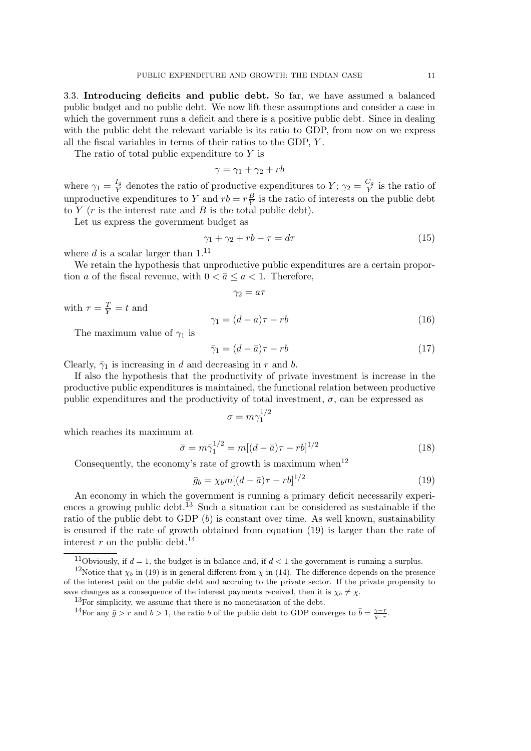3.3. Introducing deficits and public debt. So far, we have assumed a balanced public budget and no public debt. We now lift these assumptions and consider a case in which the government runs a deficit and there is a positive public debt. Since in dealing with the public debt the relevant variable is its ratio to GDP, from now on we express all the fiscal variables in terms of their ratios to the GDP, Y .

The ratio of total public expenditure to  $Y$  is

$$
\gamma = \gamma_1 + \gamma_2 + rb
$$

where  $\gamma_1 = \frac{I_g}{Y}$  $\frac{I_g}{Y}$  denotes the ratio of productive expenditures to  $Y$ ;  $\gamma_2 = \frac{C_g}{Y}$  $\frac{y}{Y}$  is the ratio of unproductive expenditures to Y and  $rb = r\frac{B}{V}$  $\frac{B}{Y}$  is the ratio of interests on the public debt to  $Y$  ( $r$  is the interest rate and  $B$  is the total public debt).

Let us express the government budget as

$$
\gamma_1 + \gamma_2 + rb - \tau = d\tau \tag{15}
$$

where d is a scalar larger than  $1.^{11}$ 

We retain the hypothesis that unproductive public expenditures are a certain proportion a of the fiscal revenue, with  $0 < \bar{a} \le a < 1$ . Therefore,

$$
\gamma_2=a\tau
$$

with  $\tau = \frac{T}{Y} = t$  and

$$
\gamma_1 = (d - a)\tau - rb \tag{16}
$$

The maximum value of  $\gamma_1$  is

$$
\bar{\gamma}_1 = (d - \bar{a})\tau - rb \tag{17}
$$

Clearly,  $\bar{\gamma}_1$  is increasing in d and decreasing in r and b.

If also the hypothesis that the productivity of private investment is increase in the productive public expenditures is maintained, the functional relation between productive public expenditures and the productivity of total investment,  $\sigma$ , can be expressed as

$$
\sigma = m \gamma_1^{1/2}
$$

which reaches its maximum at

$$
\bar{\sigma} = m\bar{\gamma}_1^{1/2} = m[(d - \bar{a})\tau - rb]^{1/2}
$$
\n(18)

Consequently, the economy's rate of growth is maximum when<sup>12</sup>

$$
\bar{g}_b = \chi_b m [(d - \bar{a})\tau - rb]^{1/2} \tag{19}
$$

An economy in which the government is running a primary deficit necessarily experiences a growing public debt.<sup>13</sup> Such a situation can be considered as sustainable if the ratio of the public debt to GDP  $(b)$  is constant over time. As well known, sustainability is ensured if the rate of growth obtained from equation (19) is larger than the rate of interest r on the public debt.<sup>14</sup>

<sup>&</sup>lt;sup>11</sup>Obviously, if  $d = 1$ , the budget is in balance and, if  $d < 1$  the government is running a surplus.

<sup>&</sup>lt;sup>12</sup>Notice that  $\chi_b$  in (19) is in general different from  $\chi$  in (14). The difference depends on the presence of the interest paid on the public debt and accruing to the private sector. If the private propensity to save changes as a consequence of the interest payments received, then it is  $\chi_b \neq \chi$ .

 $13$ For simplicity, we assume that there is no monetisation of the debt.

<sup>&</sup>lt;sup>14</sup>For any  $\bar{g} > r$  and  $b > 1$ , the ratio b of the public debt to GDP converges to  $\bar{b} = \frac{\gamma - \tau}{\bar{g} - r}$ .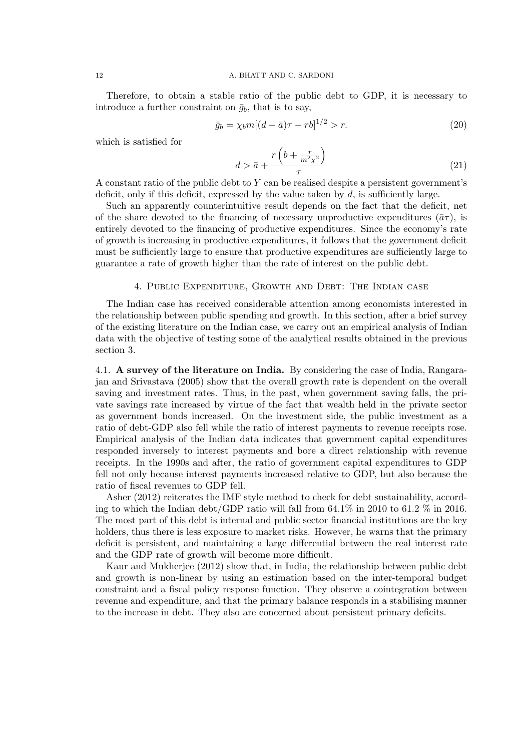Therefore, to obtain a stable ratio of the public debt to GDP, it is necessary to introduce a further constraint on  $\bar{g}_b$ , that is to say,

$$
\bar{g}_b = \chi_b m [(d - \bar{a})\tau - rb]^{1/2} > r.
$$
\n(20)

which is satisfied for

$$
d > \bar{a} + \frac{r\left(b + \frac{r}{m^2\chi^2}\right)}{\tau} \tag{21}
$$

A constant ratio of the public debt to Y can be realised despite a persistent government's deficit, only if this deficit, expressed by the value taken by  $d$ , is sufficiently large.

Such an apparently counterintuitive result depends on the fact that the deficit, net of the share devoted to the financing of necessary unproductive expenditures  $(\bar{a}\tau)$ , is entirely devoted to the financing of productive expenditures. Since the economy's rate of growth is increasing in productive expenditures, it follows that the government deficit must be sufficiently large to ensure that productive expenditures are sufficiently large to guarantee a rate of growth higher than the rate of interest on the public debt.

#### 4. Public Expenditure, Growth and Debt: The Indian case

The Indian case has received considerable attention among economists interested in the relationship between public spending and growth. In this section, after a brief survey of the existing literature on the Indian case, we carry out an empirical analysis of Indian data with the objective of testing some of the analytical results obtained in the previous section 3.

4.1. A survey of the literature on India. By considering the case of India, Rangarajan and Srivastava (2005) show that the overall growth rate is dependent on the overall saving and investment rates. Thus, in the past, when government saving falls, the private savings rate increased by virtue of the fact that wealth held in the private sector as government bonds increased. On the investment side, the public investment as a ratio of debt-GDP also fell while the ratio of interest payments to revenue receipts rose. Empirical analysis of the Indian data indicates that government capital expenditures responded inversely to interest payments and bore a direct relationship with revenue receipts. In the 1990s and after, the ratio of government capital expenditures to GDP fell not only because interest payments increased relative to GDP, but also because the ratio of fiscal revenues to GDP fell.

Asher (2012) reiterates the IMF style method to check for debt sustainability, according to which the Indian debt/GDP ratio will fall from 64.1% in 2010 to 61.2 % in 2016. The most part of this debt is internal and public sector financial institutions are the key holders, thus there is less exposure to market risks. However, he warns that the primary deficit is persistent, and maintaining a large differential between the real interest rate and the GDP rate of growth will become more difficult.

Kaur and Mukherjee (2012) show that, in India, the relationship between public debt and growth is non-linear by using an estimation based on the inter-temporal budget constraint and a fiscal policy response function. They observe a cointegration between revenue and expenditure, and that the primary balance responds in a stabilising manner to the increase in debt. They also are concerned about persistent primary deficits.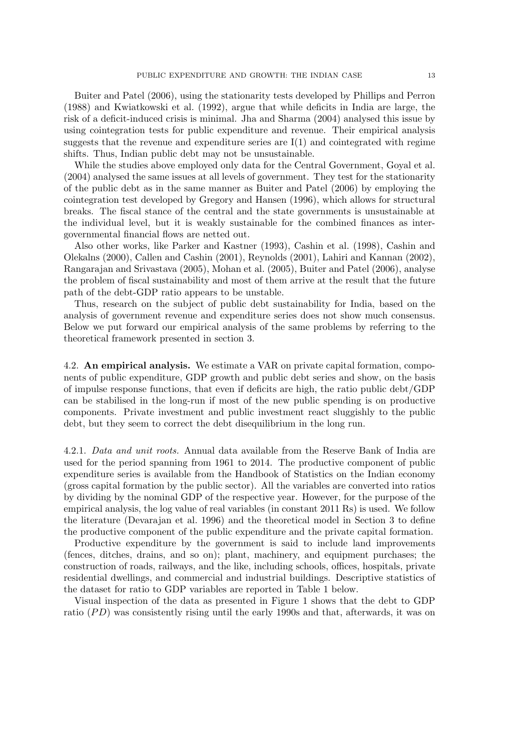Buiter and Patel (2006), using the stationarity tests developed by Phillips and Perron (1988) and Kwiatkowski et al. (1992), argue that while deficits in India are large, the risk of a deficit-induced crisis is minimal. Jha and Sharma (2004) analysed this issue by using cointegration tests for public expenditure and revenue. Their empirical analysis suggests that the revenue and expenditure series are  $I(1)$  and cointegrated with regime shifts. Thus, Indian public debt may not be unsustainable.

While the studies above employed only data for the Central Government, Goyal et al. (2004) analysed the same issues at all levels of government. They test for the stationarity of the public debt as in the same manner as Buiter and Patel (2006) by employing the cointegration test developed by Gregory and Hansen (1996), which allows for structural breaks. The fiscal stance of the central and the state governments is unsustainable at the individual level, but it is weakly sustainable for the combined finances as intergovernmental financial flows are netted out.

Also other works, like Parker and Kastner (1993), Cashin et al. (1998), Cashin and Olekalns (2000), Callen and Cashin (2001), Reynolds (2001), Lahiri and Kannan (2002), Rangarajan and Srivastava (2005), Mohan et al. (2005), Buiter and Patel (2006), analyse the problem of fiscal sustainability and most of them arrive at the result that the future path of the debt-GDP ratio appears to be unstable.

Thus, research on the subject of public debt sustainability for India, based on the analysis of government revenue and expenditure series does not show much consensus. Below we put forward our empirical analysis of the same problems by referring to the theoretical framework presented in section 3.

4.2. An empirical analysis. We estimate a VAR on private capital formation, components of public expenditure, GDP growth and public debt series and show, on the basis of impulse response functions, that even if deficits are high, the ratio public debt/GDP can be stabilised in the long-run if most of the new public spending is on productive components. Private investment and public investment react sluggishly to the public debt, but they seem to correct the debt disequilibrium in the long run.

4.2.1. Data and unit roots. Annual data available from the Reserve Bank of India are used for the period spanning from 1961 to 2014. The productive component of public expenditure series is available from the Handbook of Statistics on the Indian economy (gross capital formation by the public sector). All the variables are converted into ratios by dividing by the nominal GDP of the respective year. However, for the purpose of the empirical analysis, the log value of real variables (in constant 2011 Rs) is used. We follow the literature (Devarajan et al. 1996) and the theoretical model in Section 3 to define the productive component of the public expenditure and the private capital formation.

Productive expenditure by the government is said to include land improvements (fences, ditches, drains, and so on); plant, machinery, and equipment purchases; the construction of roads, railways, and the like, including schools, offices, hospitals, private residential dwellings, and commercial and industrial buildings. Descriptive statistics of the dataset for ratio to GDP variables are reported in Table 1 below.

Visual inspection of the data as presented in Figure 1 shows that the debt to GDP ratio  $(PD)$  was consistently rising until the early 1990s and that, afterwards, it was on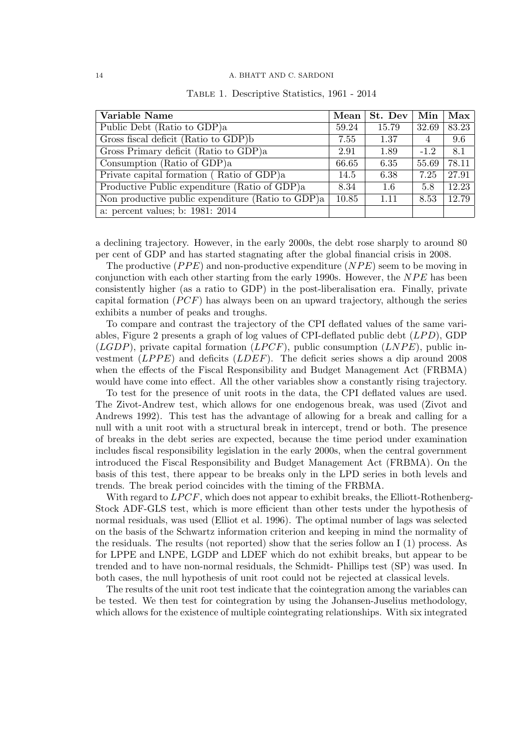#### 14 A. BHATT AND C. SARDONI

| Variable Name                                     | $\bold{Mean}$ | St. Dev | Min    | $\operatorname{Max}$ |
|---------------------------------------------------|---------------|---------|--------|----------------------|
| Public Debt (Ratio to GDP)a                       | 59.24         | 15.79   | 32.69  | 83.23                |
| Gross fiscal deficit (Ratio to GDP)b              | 7.55          | 1.37    | 4      | 9.6                  |
| Gross Primary deficit (Ratio to GDP)a             | 2.91          | 1.89    | $-1.2$ | 8.1                  |
| Consumption (Ratio of GDP)a                       | 66.65         | 6.35    | 55.69  | 78.11                |
| Private capital formation (Ratio of GDP)a         | 14.5          | 6.38    | 7.25   | 27.91                |
| Productive Public expenditure (Ratio of GDP)a     | 8.34          | 1.6     | 5.8    | 12.23                |
| Non productive public expenditure (Ratio to GDP)a | 10.85         | 1.11    | 8.53   | 12.79                |
| a: percent values; b: 1981: 2014                  |               |         |        |                      |

|  |  | TABLE 1. Descriptive Statistics, 1961 - 2014 |  |  |  |
|--|--|----------------------------------------------|--|--|--|
|--|--|----------------------------------------------|--|--|--|

a declining trajectory. However, in the early 2000s, the debt rose sharply to around 80 per cent of GDP and has started stagnating after the global financial crisis in 2008.

The productive  $(PPE)$  and non-productive expenditure  $(NPE)$  seem to be moving in conjunction with each other starting from the early 1990s. However, the  $NPE$  has been consistently higher (as a ratio to GDP) in the post-liberalisation era. Finally, private capital formation  $(PCF)$  has always been on an upward trajectory, although the series exhibits a number of peaks and troughs.

To compare and contrast the trajectory of the CPI deflated values of the same variables, Figure 2 presents a graph of log values of CPI-deflated public debt  $(LPD)$ , GDP (*LGDP*), private capital formation (*LPCF*), public consumption (*LNPE*), public investment  $(LPPE)$  and deficits  $(LDEF)$ . The deficit series shows a dip around 2008 when the effects of the Fiscal Responsibility and Budget Management Act (FRBMA) would have come into effect. All the other variables show a constantly rising trajectory.

To test for the presence of unit roots in the data, the CPI deflated values are used. The Zivot-Andrew test, which allows for one endogenous break, was used (Zivot and Andrews 1992). This test has the advantage of allowing for a break and calling for a null with a unit root with a structural break in intercept, trend or both. The presence of breaks in the debt series are expected, because the time period under examination includes fiscal responsibility legislation in the early 2000s, when the central government introduced the Fiscal Responsibility and Budget Management Act (FRBMA). On the basis of this test, there appear to be breaks only in the LPD series in both levels and trends. The break period coincides with the timing of the FRBMA.

With regard to  $LPCF$ , which does not appear to exhibit breaks, the Elliott-Rothenberg-Stock ADF-GLS test, which is more efficient than other tests under the hypothesis of normal residuals, was used (Elliot et al. 1996). The optimal number of lags was selected on the basis of the Schwartz information criterion and keeping in mind the normality of the residuals. The results (not reported) show that the series follow an I (1) process. As for LPPE and LNPE, LGDP and LDEF which do not exhibit breaks, but appear to be trended and to have non-normal residuals, the Schmidt- Phillips test (SP) was used. In both cases, the null hypothesis of unit root could not be rejected at classical levels.

The results of the unit root test indicate that the cointegration among the variables can be tested. We then test for cointegration by using the Johansen-Juselius methodology, which allows for the existence of multiple cointegrating relationships. With six integrated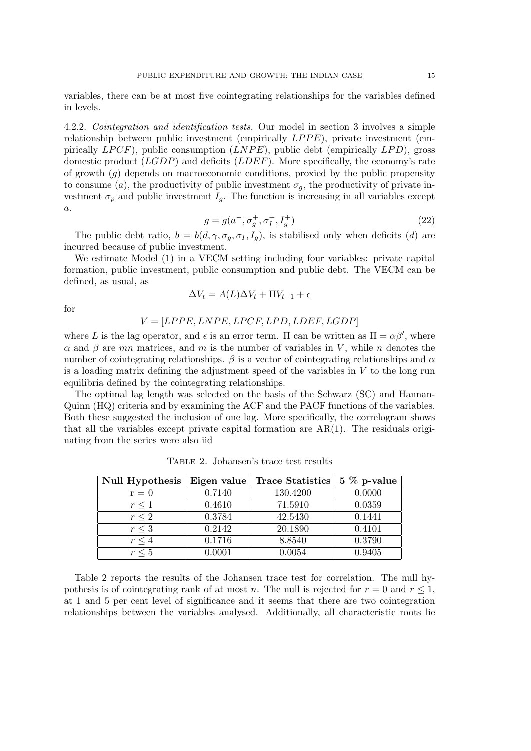variables, there can be at most five cointegrating relationships for the variables defined in levels.

4.2.2. Cointegration and identification tests. Our model in section 3 involves a simple relationship between public investment (empirically  $LPPE$ ), private investment (empirically  $LPCF$ ), public consumption  $(LNPE)$ , public debt (empirically  $LPD$ ), gross domestic product  $(LGDP)$  and deficits  $(LDEF)$ . More specifically, the economy's rate of growth  $(g)$  depends on macroeconomic conditions, proxied by the public propensity to consume (a), the productivity of public investment  $\sigma_g$ , the productivity of private investment  $\sigma_p$  and public investment  $I_q$ . The function is increasing in all variables except  $\overline{a}$ .

$$
g = g(a^{-}, \sigma_g^{+}, \sigma_I^{+}, I_g^{+})
$$
\n(22)

The public debt ratio,  $b = b(d, \gamma, \sigma_g, \sigma_I, I_g)$ , is stabilised only when deficits (d) are incurred because of public investment.

We estimate Model (1) in a VECM setting including four variables: private capital formation, public investment, public consumption and public debt. The VECM can be defined, as usual, as

$$
\Delta V_t = A(L)\Delta V_t + \Pi V_{t-1} + \epsilon
$$

for

### $V = [LPPE, LNPE, LPCF, LPD, LDEF, LGDP]$

where L is the lag operator, and  $\epsilon$  is an error term. If can be written as  $\Pi = \alpha \beta'$ , where  $\alpha$  and  $\beta$  are mn matrices, and m is the number of variables in V, while n denotes the number of cointegrating relationships.  $\beta$  is a vector of cointegrating relationships and  $\alpha$ is a loading matrix defining the adjustment speed of the variables in  $V$  to the long run equilibria defined by the cointegrating relationships.

The optimal lag length was selected on the basis of the Schwarz (SC) and Hannan-Quinn (HQ) criteria and by examining the ACF and the PACF functions of the variables. Both these suggested the inclusion of one lag. More specifically, the correlogram shows that all the variables except private capital formation are  $AR(1)$ . The residuals originating from the series were also iid

| Null Hypothesis | Eigen value | <b>Trace Statistics</b> | $5\%$ p-value |  |
|-----------------|-------------|-------------------------|---------------|--|
| $r = 0$         | 0.7140      | 130.4200                | 0.0000        |  |
| $r \leq 1$      | 0.4610      | 71.5910                 | 0.0359        |  |
| $r \leq 2$      | 0.3784      | 42.5430                 | 0.1441        |  |
| $r \leq 3$      | 0.2142      | 20.1890                 | 0.4101        |  |
| $r \leq 4$      | 0.1716      | 8.8540                  | 0.3790        |  |
| $r \leq 5$      | 0.0001      | 0.0054                  | 0.9405        |  |

Table 2. Johansen's trace test results

Table 2 reports the results of the Johansen trace test for correlation. The null hypothesis is of cointegrating rank of at most n. The null is rejected for  $r = 0$  and  $r \leq 1$ , at 1 and 5 per cent level of significance and it seems that there are two cointegration relationships between the variables analysed. Additionally, all characteristic roots lie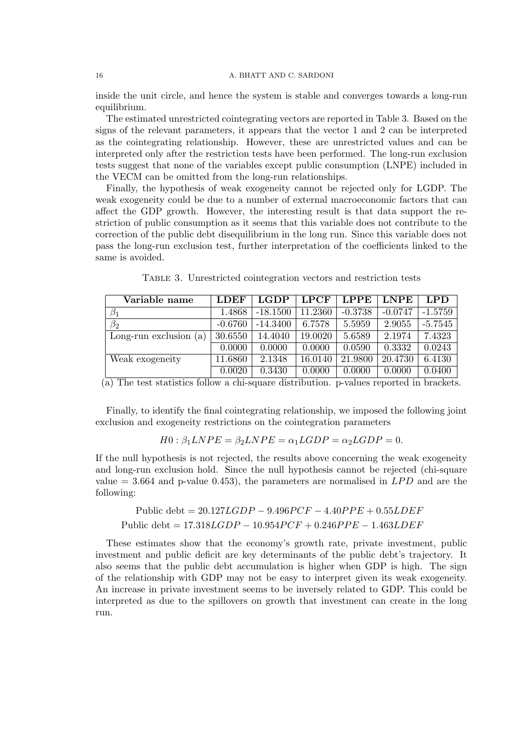inside the unit circle, and hence the system is stable and converges towards a long-run equilibrium.

The estimated unrestricted cointegrating vectors are reported in Table 3. Based on the signs of the relevant parameters, it appears that the vector 1 and 2 can be interpreted as the cointegrating relationship. However, these are unrestricted values and can be interpreted only after the restriction tests have been performed. The long-run exclusion tests suggest that none of the variables except public consumption (LNPE) included in the VECM can be omitted from the long-run relationships.

Finally, the hypothesis of weak exogeneity cannot be rejected only for LGDP. The weak exogeneity could be due to a number of external macroeconomic factors that can affect the GDP growth. However, the interesting result is that data support the restriction of public consumption as it seems that this variable does not contribute to the correction of the public debt disequilibrium in the long run. Since this variable does not pass the long-run exclusion test, further interpretation of the coefficients linked to the same is avoided.

| Variable name             | <b>LDEF</b> | <b>LGDP</b> | <b>LPCF</b> | <b>LPPE</b> | <b>LNPE</b> | <b>LPD</b> |
|---------------------------|-------------|-------------|-------------|-------------|-------------|------------|
| $\beta_1$                 | 1.4868      | $-18.1500$  | 11.2360     | $-0.3738$   | $-0.0747$   | $-1.5759$  |
| $\beta_2$                 | $-0.6760$   | $-14.3400$  | 6.7578      | 5.5959      | 2.9055      | $-5.7545$  |
| Long-run exclusion<br>(a) | 30.6550     | 14.4040     | 19.0020     | 5.6589      | 2.1974      | 7.4323     |
|                           | 0.0000      | 0.0000      | 0.0000      | 0.0590      | 0.3332      | 0.0243     |
| Weak exogeneity           | 11.6860     | 2.1348      | 16.0140     | 21.9800     | 20.4730     | 6.4130     |
|                           | 0.0020      | 0.3430      | 0.0000      | 0.0000      | 0.0000      | 0.0400     |

Table 3. Unrestricted cointegration vectors and restriction tests

(a) The test statistics follow a chi-square distribution. p-values reported in brackets.

Finally, to identify the final cointegrating relationship, we imposed the following joint exclusion and exogeneity restrictions on the cointegration parameters

$$
H0: \beta_1 LNPE = \beta_2 LNPE = \alpha_1 LGDP = \alpha_2 LGDP = 0.
$$

If the null hypothesis is not rejected, the results above concerning the weak exogeneity and long-run exclusion hold. Since the null hypothesis cannot be rejected (chi-square value  $=$  3.664 and p-value 0.453), the parameters are normalised in  $LPD$  and are the following:

## Public debt =  $20.127LGDP - 9.496PCF - 4.40PPE + 0.55LDEF$ Public debt =  $17.318LGDP - 10.954PCF + 0.246PPE - 1.463LDEF$

These estimates show that the economy's growth rate, private investment, public investment and public deficit are key determinants of the public debt's trajectory. It also seems that the public debt accumulation is higher when GDP is high. The sign of the relationship with GDP may not be easy to interpret given its weak exogeneity. An increase in private investment seems to be inversely related to GDP. This could be interpreted as due to the spillovers on growth that investment can create in the long run.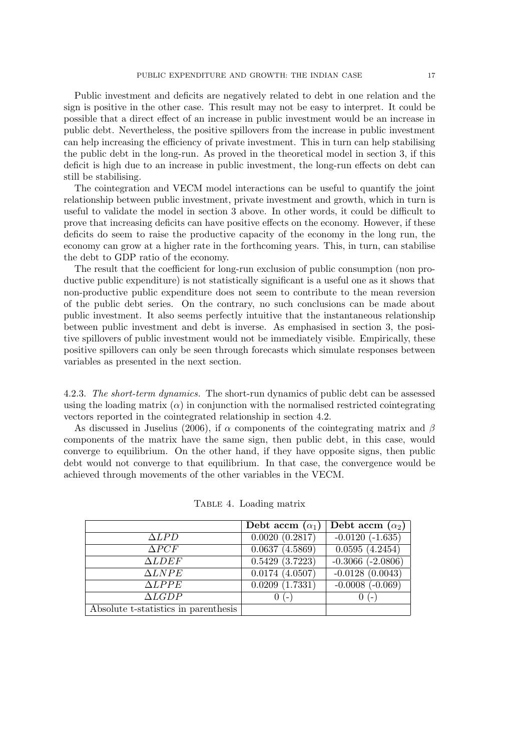Public investment and deficits are negatively related to debt in one relation and the sign is positive in the other case. This result may not be easy to interpret. It could be possible that a direct effect of an increase in public investment would be an increase in public debt. Nevertheless, the positive spillovers from the increase in public investment can help increasing the efficiency of private investment. This in turn can help stabilising the public debt in the long-run. As proved in the theoretical model in section 3, if this deficit is high due to an increase in public investment, the long-run effects on debt can still be stabilising.

The cointegration and VECM model interactions can be useful to quantify the joint relationship between public investment, private investment and growth, which in turn is useful to validate the model in section 3 above. In other words, it could be difficult to prove that increasing deficits can have positive effects on the economy. However, if these deficits do seem to raise the productive capacity of the economy in the long run, the economy can grow at a higher rate in the forthcoming years. This, in turn, can stabilise the debt to GDP ratio of the economy.

The result that the coefficient for long-run exclusion of public consumption (non productive public expenditure) is not statistically significant is a useful one as it shows that non-productive public expenditure does not seem to contribute to the mean reversion of the public debt series. On the contrary, no such conclusions can be made about public investment. It also seems perfectly intuitive that the instantaneous relationship between public investment and debt is inverse. As emphasised in section 3, the positive spillovers of public investment would not be immediately visible. Empirically, these positive spillovers can only be seen through forecasts which simulate responses between variables as presented in the next section.

4.2.3. The short-term dynamics. The short-run dynamics of public debt can be assessed using the loading matrix  $(\alpha)$  in conjunction with the normalised restricted cointegrating vectors reported in the cointegrated relationship in section 4.2.

As discussed in Juselius (2006), if  $\alpha$  components of the cointegrating matrix and  $\beta$ components of the matrix have the same sign, then public debt, in this case, would converge to equilibrium. On the other hand, if they have opposite signs, then public debt would not converge to that equilibrium. In that case, the convergence would be achieved through movements of the other variables in the VECM.

|                                      | Debt accm $(\alpha_1)$ | Debt accm $(\alpha_2)$ |
|--------------------------------------|------------------------|------------------------|
| $\Delta LPD$                         | $0.0020\ (0.2817)$     | $-0.0120(-1.635)$      |
| $\Delta PCF$                         | 0.0637(4.5869)         | 0.0595(4.2454)         |
| $\Delta LDEF$                        | 0.5429(3.7223)         | $-0.3066$ $(-2.0806)$  |
| $\Delta L NPE$                       | 0.0174(4.0507)         | $-0.0128(0.0043)$      |
| $\triangle LPPE$                     | 0.0209(1.7331)         | $-0.0008(-0.069)$      |
| $\Delta LGDP$                        | (                      | $(-$                   |
| Absolute t-statistics in parenthesis |                        |                        |

Table 4. Loading matrix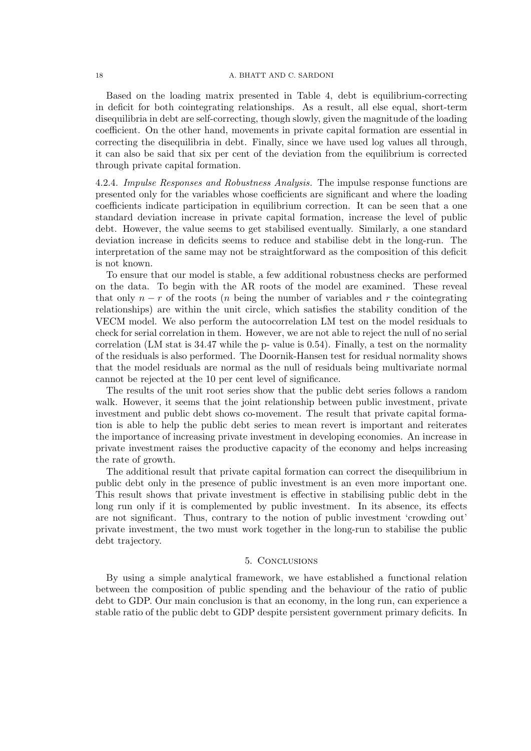#### 18 A. BHATT AND C. SARDONI

Based on the loading matrix presented in Table 4, debt is equilibrium-correcting in deficit for both cointegrating relationships. As a result, all else equal, short-term disequilibria in debt are self-correcting, though slowly, given the magnitude of the loading coefficient. On the other hand, movements in private capital formation are essential in correcting the disequilibria in debt. Finally, since we have used log values all through, it can also be said that six per cent of the deviation from the equilibrium is corrected through private capital formation.

4.2.4. Impulse Responses and Robustness Analysis. The impulse response functions are presented only for the variables whose coefficients are significant and where the loading coefficients indicate participation in equilibrium correction. It can be seen that a one standard deviation increase in private capital formation, increase the level of public debt. However, the value seems to get stabilised eventually. Similarly, a one standard deviation increase in deficits seems to reduce and stabilise debt in the long-run. The interpretation of the same may not be straightforward as the composition of this deficit is not known.

To ensure that our model is stable, a few additional robustness checks are performed on the data. To begin with the AR roots of the model are examined. These reveal that only  $n - r$  of the roots (*n* being the number of variables and r the cointegrating relationships) are within the unit circle, which satisfies the stability condition of the VECM model. We also perform the autocorrelation LM test on the model residuals to check for serial correlation in them. However, we are not able to reject the null of no serial correlation (LM stat is 34.47 while the p- value is 0.54). Finally, a test on the normality of the residuals is also performed. The Doornik-Hansen test for residual normality shows that the model residuals are normal as the null of residuals being multivariate normal cannot be rejected at the 10 per cent level of significance.

The results of the unit root series show that the public debt series follows a random walk. However, it seems that the joint relationship between public investment, private investment and public debt shows co-movement. The result that private capital formation is able to help the public debt series to mean revert is important and reiterates the importance of increasing private investment in developing economies. An increase in private investment raises the productive capacity of the economy and helps increasing the rate of growth.

The additional result that private capital formation can correct the disequilibrium in public debt only in the presence of public investment is an even more important one. This result shows that private investment is effective in stabilising public debt in the long run only if it is complemented by public investment. In its absence, its effects are not significant. Thus, contrary to the notion of public investment 'crowding out' private investment, the two must work together in the long-run to stabilise the public debt trajectory.

#### 5. Conclusions

By using a simple analytical framework, we have established a functional relation between the composition of public spending and the behaviour of the ratio of public debt to GDP. Our main conclusion is that an economy, in the long run, can experience a stable ratio of the public debt to GDP despite persistent government primary deficits. In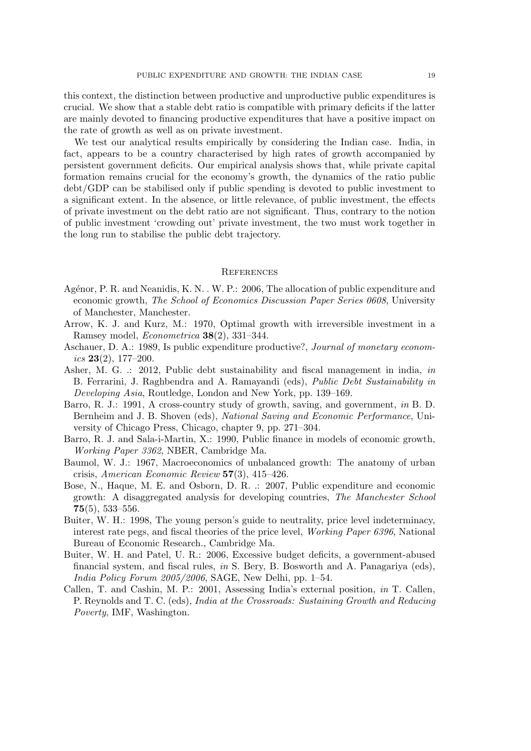this context, the distinction between productive and unproductive public expenditures is crucial. We show that a stable debt ratio is compatible with primary deficits if the latter are mainly devoted to financing productive expenditures that have a positive impact on the rate of growth as well as on private investment.

We test our analytical results empirically by considering the Indian case. India, in fact, appears to be a country characterised by high rates of growth accompanied by persistent government deficits. Our empirical analysis shows that, while private capital formation remains crucial for the economy's growth, the dynamics of the ratio public debt/GDP can be stabilised only if public spending is devoted to public investment to a significant extent. In the absence, or little relevance, of public investment, the effects of private investment on the debt ratio are not significant. Thus, contrary to the notion of public investment 'crowding out' private investment, the two must work together in the long run to stabilise the public debt trajectory.

#### **REFERENCES**

- Agénor, P. R. and Neanidis, K. N. . W. P.: 2006, The allocation of public expenditure and economic growth, The School of Economics Discussion Paper Series 0608, University of Manchester, Manchester.
- Arrow, K. J. and Kurz, M.: 1970, Optimal growth with irreversible investment in a Ramsey model, Econometrica 38(2), 331–344.
- Aschauer, D. A.: 1989, Is public expenditure productive?, Journal of monetary economics  $23(2)$ , 177–200.
- Asher, M. G. .: 2012, Public debt sustainability and fiscal management in india, in B. Ferrarini, J. Raghbendra and A. Ramayandi (eds), Public Debt Sustainability in Developing Asia, Routledge, London and New York, pp. 139–169.
- Barro, R. J.: 1991, A cross-country study of growth, saving, and government, in B. D. Bernheim and J. B. Shoven (eds), National Saving and Economic Performance, University of Chicago Press, Chicago, chapter 9, pp. 271–304.
- Barro, R. J. and Sala-i-Martin, X.: 1990, Public finance in models of economic growth, Working Paper 3362, NBER, Cambridge Ma.
- Baumol, W. J.: 1967, Macroeconomics of unbalanced growth: The anatomy of urban crisis, American Economic Review 57(3), 415–426.
- Bose, N., Haque, M. E. and Osborn, D. R. .: 2007, Public expenditure and economic growth: A disaggregated analysis for developing countries, The Manchester School  $75(5)$ , 533-556.
- Buiter, W. H.: 1998, The young person's guide to neutrality, price level indeterminacy, interest rate pegs, and fiscal theories of the price level, Working Paper 6396, National Bureau of Economic Research., Cambridge Ma.
- Buiter, W. H. and Patel, U. R.: 2006, Excessive budget deficits, a government-abused financial system, and fiscal rules, in S. Bery, B. Bosworth and A. Panagariya (eds), India Policy Forum 2005/2006, SAGE, New Delhi, pp. 1–54.
- Callen, T. and Cashin, M. P.: 2001, Assessing India's external position, in T. Callen, P. Reynolds and T. C. (eds), India at the Crossroads: Sustaining Growth and Reducing Poverty, IMF, Washington.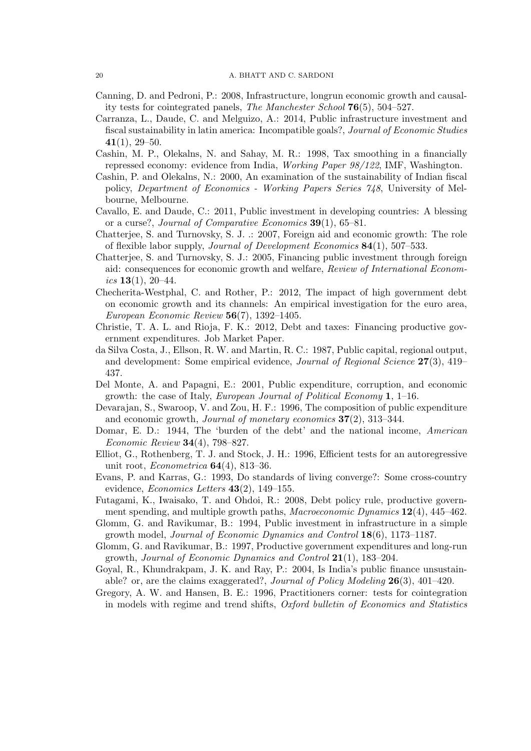- Canning, D. and Pedroni, P.: 2008, Infrastructure, longrun economic growth and causality tests for cointegrated panels, The Manchester School 76(5), 504–527.
- Carranza, L., Daude, C. and Melguizo, A.: 2014, Public infrastructure investment and fiscal sustainability in latin america: Incompatible goals?, Journal of Economic Studies  $41(1), 29-50.$
- Cashin, M. P., Olekalns, N. and Sahay, M. R.: 1998, Tax smoothing in a financially repressed economy: evidence from India, Working Paper 98/122, IMF, Washington.
- Cashin, P. and Olekalns, N.: 2000, An examination of the sustainability of Indian fiscal policy, Department of Economics - Working Papers Series 748, University of Melbourne, Melbourne.
- Cavallo, E. and Daude, C.: 2011, Public investment in developing countries: A blessing or a curse?, Journal of Comparative Economics 39(1), 65–81.
- Chatterjee, S. and Turnovsky, S. J. .: 2007, Foreign aid and economic growth: The role of flexible labor supply, Journal of Development Economics 84(1), 507–533.
- Chatterjee, S. and Turnovsky, S. J.: 2005, Financing public investment through foreign aid: consequences for economic growth and welfare, Review of International Economics  $13(1)$ ,  $20-44$ .
- Checherita-Westphal, C. and Rother, P.: 2012, The impact of high government debt on economic growth and its channels: An empirical investigation for the euro area, European Economic Review  $56(7)$ , 1392-1405.
- Christie, T. A. L. and Rioja, F. K.: 2012, Debt and taxes: Financing productive government expenditures. Job Market Paper.
- da Silva Costa, J., Ellson, R. W. and Martin, R. C.: 1987, Public capital, regional output, and development: Some empirical evidence, Journal of Regional Science 27(3), 419– 437.
- Del Monte, A. and Papagni, E.: 2001, Public expenditure, corruption, and economic growth: the case of Italy, European Journal of Political Economy 1, 1–16.
- Devarajan, S., Swaroop, V. and Zou, H. F.: 1996, The composition of public expenditure and economic growth, Journal of monetary economics 37(2), 313–344.
- Domar, E. D.: 1944, The 'burden of the debt' and the national income, American Economic Review 34(4), 798–827.
- Elliot, G., Rothenberg, T. J. and Stock, J. H.: 1996, Efficient tests for an autoregressive unit root, Econometrica 64(4), 813–36.
- Evans, P. and Karras, G.: 1993, Do standards of living converge?: Some cross-country evidence, Economics Letters  $43(2)$ , 149-155.
- Futagami, K., Iwaisako, T. and Ohdoi, R.: 2008, Debt policy rule, productive government spending, and multiple growth paths, *Macroeconomic Dynamics*  $12(4)$ , 445–462.
- Glomm, G. and Ravikumar, B.: 1994, Public investment in infrastructure in a simple growth model, Journal of Economic Dynamics and Control 18(6), 1173–1187.
- Glomm, G. and Ravikumar, B.: 1997, Productive government expenditures and long-run growth, Journal of Economic Dynamics and Control 21(1), 183–204.
- Goyal, R., Khundrakpam, J. K. and Ray, P.: 2004, Is India's public finance unsustainable? or, are the claims exaggerated?, Journal of Policy Modeling 26(3), 401–420.
- Gregory, A. W. and Hansen, B. E.: 1996, Practitioners corner: tests for cointegration in models with regime and trend shifts, Oxford bulletin of Economics and Statistics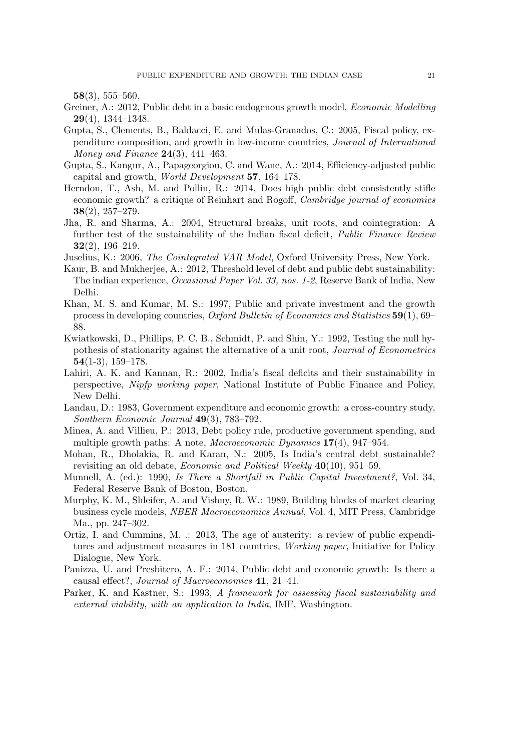58(3), 555–560.

- Greiner, A.: 2012, Public debt in a basic endogenous growth model, *Economic Modelling* 29(4), 1344–1348.
- Gupta, S., Clements, B., Baldacci, E. and Mulas-Granados, C.: 2005, Fiscal policy, expenditure composition, and growth in low-income countries, Journal of International *Money and Finance* **24**(3), 441–463.
- Gupta, S., Kangur, A., Papageorgiou, C. and Wane, A.: 2014, Efficiency-adjusted public capital and growth, World Development 57, 164–178.
- Herndon, T., Ash, M. and Pollin, R.: 2014, Does high public debt consistently stifle economic growth? a critique of Reinhart and Rogoff, Cambridge journal of economics 38(2), 257–279.
- Jha, R. and Sharma, A.: 2004, Structural breaks, unit roots, and cointegration: A further test of the sustainability of the Indian fiscal deficit, Public Finance Review  $32(2), 196-219.$
- Juselius, K.: 2006, The Cointegrated VAR Model, Oxford University Press, New York.
- Kaur, B. and Mukherjee, A.: 2012, Threshold level of debt and public debt sustainability: The indian experience, Occasional Paper Vol. 33, nos. 1-2, Reserve Bank of India, New Delhi.
- Khan, M. S. and Kumar, M. S.: 1997, Public and private investment and the growth process in developing countries, Oxford Bulletin of Economics and Statistics 59(1), 69– 88.
- Kwiatkowski, D., Phillips, P. C. B., Schmidt, P. and Shin, Y.: 1992, Testing the null hypothesis of stationarity against the alternative of a unit root, *Journal of Econometrics*  $54(1-3), 159-178.$
- Lahiri, A. K. and Kannan, R.: 2002, India's fiscal deficits and their sustainability in perspective, Nipfp working paper, National Institute of Public Finance and Policy, New Delhi.
- Landau, D.: 1983, Government expenditure and economic growth: a cross-country study, Southern Economic Journal 49(3), 783–792.
- Minea, A. and Villieu, P.: 2013, Debt policy rule, productive government spending, and multiple growth paths: A note, Macroeconomic Dynamics 17(4), 947–954.
- Mohan, R., Dholakia, R. and Karan, N.: 2005, Is India's central debt sustainable? revisiting an old debate, Economic and Political Weekly 40(10), 951-59.
- Munnell, A. (ed.): 1990, Is There a Shortfall in Public Capital Investment?, Vol. 34, Federal Reserve Bank of Boston, Boston.
- Murphy, K. M., Shleifer, A. and Vishny, R. W.: 1989, Building blocks of market clearing business cycle models, NBER Macroeconomics Annual, Vol. 4, MIT Press, Cambridge Ma., pp. 247–302.
- Ortiz, I. and Cummins, M. .: 2013, The age of austerity: a review of public expenditures and adjustment measures in 181 countries, Working paper, Initiative for Policy Dialogue, New York.
- Panizza, U. and Presbitero, A. F.: 2014, Public debt and economic growth: Is there a causal effect?, Journal of Macroeconomics 41, 21–41.
- Parker, K. and Kastner, S.: 1993, A framework for assessing fiscal sustainability and external viability, with an application to India, IMF, Washington.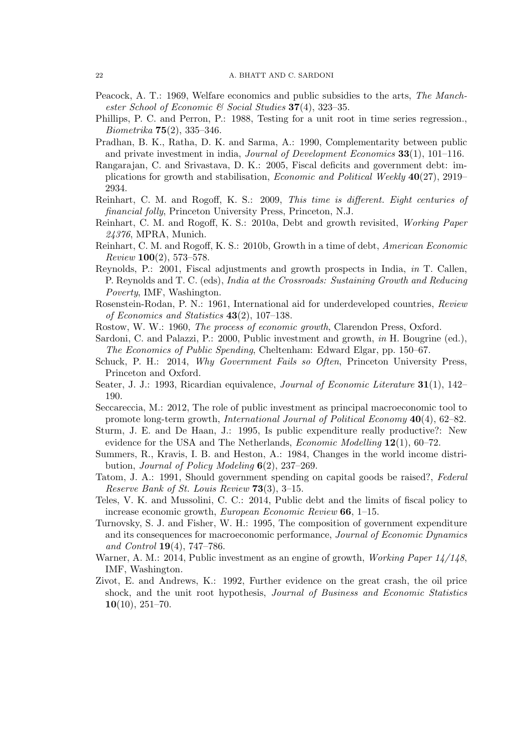- Peacock, A. T.: 1969, Welfare economics and public subsidies to the arts, The Manchester School of Economic & Social Studies  $37(4)$ , 323-35.
- Phillips, P. C. and Perron, P.: 1988, Testing for a unit root in time series regression.,  $Biometrika$  **75**(2), 335–346.
- Pradhan, B. K., Ratha, D. K. and Sarma, A.: 1990, Complementarity between public and private investment in india, *Journal of Development Economics*  $33(1)$ ,  $101-116$ .
- Rangarajan, C. and Srivastava, D. K.: 2005, Fiscal deficits and government debt: implications for growth and stabilisation, *Economic and Political Weekly*  $40(27)$ , 2919– 2934.
- Reinhart, C. M. and Rogoff, K. S.: 2009, This time is different. Eight centuries of financial folly, Princeton University Press, Princeton, N.J.
- Reinhart, C. M. and Rogoff, K. S.: 2010a, Debt and growth revisited, Working Paper 24376, MPRA, Munich.
- Reinhart, C. M. and Rogoff, K. S.: 2010b, Growth in a time of debt, American Economic Review 100(2), 573–578.
- Reynolds, P.: 2001, Fiscal adjustments and growth prospects in India, in T. Callen, P. Reynolds and T. C. (eds), India at the Crossroads: Sustaining Growth and Reducing Poverty, IMF, Washington.
- Rosenstein-Rodan, P. N.: 1961, International aid for underdeveloped countries, Review of Economics and Statistics  $43(2)$ , 107-138.
- Rostow, W. W.: 1960, The process of economic growth, Clarendon Press, Oxford.
- Sardoni, C. and Palazzi, P.: 2000, Public investment and growth, in H. Bougrine (ed.), The Economics of Public Spending, Cheltenham: Edward Elgar, pp. 150–67.
- Schuck, P. H.: 2014, Why Government Fails so Often, Princeton University Press, Princeton and Oxford.
- Seater, J. J.: 1993, Ricardian equivalence, *Journal of Economic Literature* 31(1), 142– 190.
- Seccareccia, M.: 2012, The role of public investment as principal macroeconomic tool to promote long-term growth, *International Journal of Political Economy*  $40(4)$ , 62–82.
- Sturm, J. E. and De Haan, J.: 1995, Is public expenditure really productive?: New evidence for the USA and The Netherlands, *Economic Modelling* 12(1), 60–72.
- Summers, R., Kravis, I. B. and Heston, A.: 1984, Changes in the world income distribution, Journal of Policy Modeling 6(2), 237–269.
- Tatom, J. A.: 1991, Should government spending on capital goods be raised?, Federal Reserve Bank of St. Louis Review  $73(3)$ , 3-15.
- Teles, V. K. and Mussolini, C. C.: 2014, Public debt and the limits of fiscal policy to increase economic growth, European Economic Review 66, 1–15.
- Turnovsky, S. J. and Fisher, W. H.: 1995, The composition of government expenditure and its consequences for macroeconomic performance, Journal of Economic Dynamics and Control  $19(4)$ , 747-786.
- Warner, A. M.: 2014, Public investment as an engine of growth, *Working Paper 14/148*, IMF, Washington.
- Zivot, E. and Andrews, K.: 1992, Further evidence on the great crash, the oil price shock, and the unit root hypothesis, Journal of Business and Economic Statistics  $10(10), 251-70.$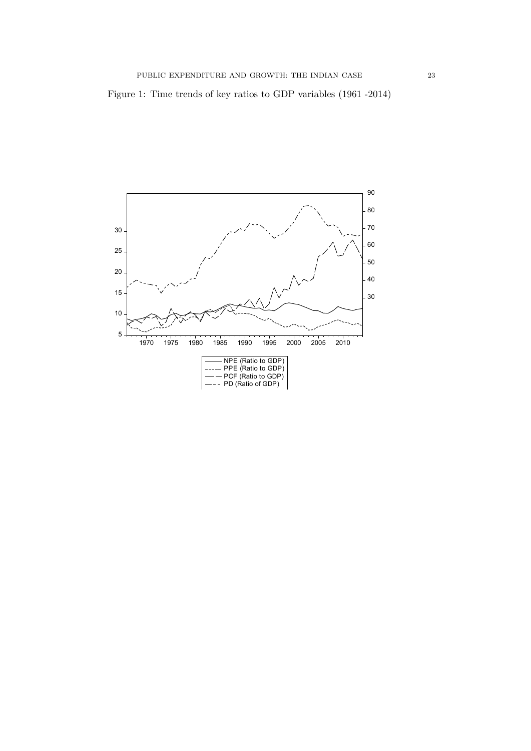

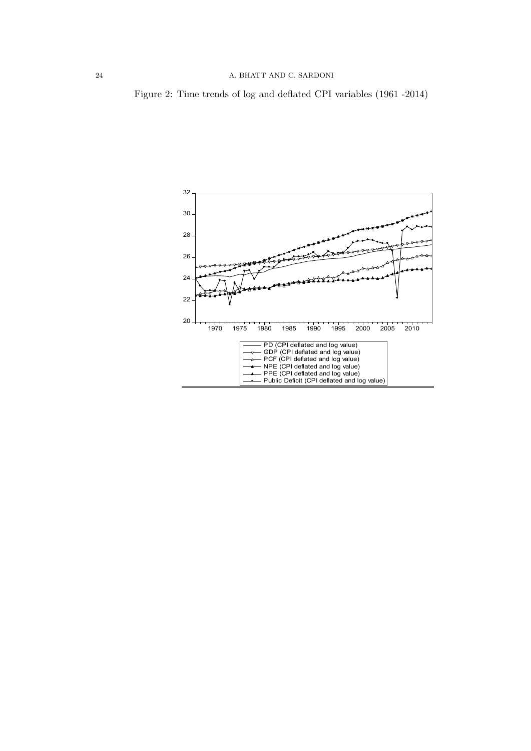Figure 2: Time trends of log and deflated CPI variables (1961 -2014)